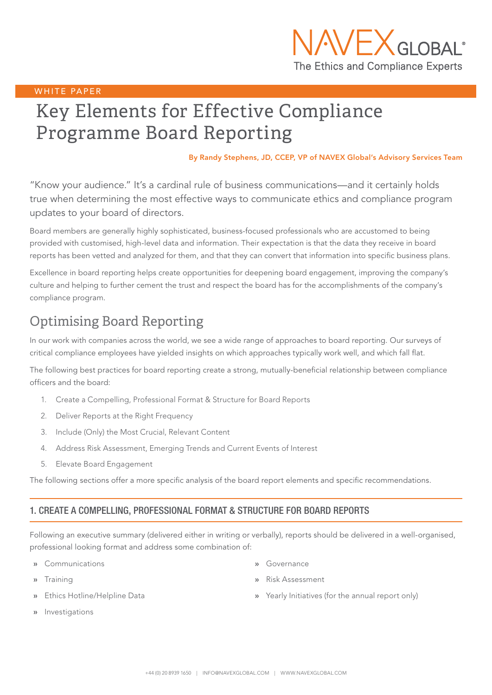

### WHITE PAPER

# Key Elements for Effective Compliance Programme Board Reporting

By Randy Stephens, JD, CCEP, VP of NAVEX Global's Advisory Services Team

"Know your audience." It's a cardinal rule of business communications—and it certainly holds true when determining the most effective ways to communicate ethics and compliance program updates to your board of directors.

Board members are generally highly sophisticated, business-focused professionals who are accustomed to being provided with customised, high-level data and information. Their expectation is that the data they receive in board reports has been vetted and analyzed for them, and that they can convert that information into specific business plans.

Excellence in board reporting helps create opportunities for deepening board engagement, improving the company's culture and helping to further cement the trust and respect the board has for the accomplishments of the company's compliance program.

# Optimising Board Reporting

In our work with companies across the world, we see a wide range of approaches to board reporting. Our surveys of critical compliance employees have yielded insights on which approaches typically work well, and which fall flat.

The following best practices for board reporting create a strong, mutually-beneficial relationship between compliance officers and the board:

- 1. Create a Compelling, Professional Format & Structure for Board Reports
- 2. Deliver Reports at the Right Frequency
- 3. Include (Only) the Most Crucial, Relevant Content
- 4. Address Risk Assessment, Emerging Trends and Current Events of Interest
- 5. Elevate Board Engagement

The following sections offer a more specific analysis of the board report elements and specific recommendations.

## 1. CREATE A COMPELLING, PROFESSIONAL FORMAT & STRUCTURE FOR BOARD REPORTS

Following an executive summary (delivered either in writing or verbally), reports should be delivered in a well-organised, professional looking format and address some combination of:

- » Communications
- » Training
- » Ethics Hotline/Helpline Data
- » Governance
- » Risk Assessment
- » Yearly Initiatives (for the annual report only)

» Investigations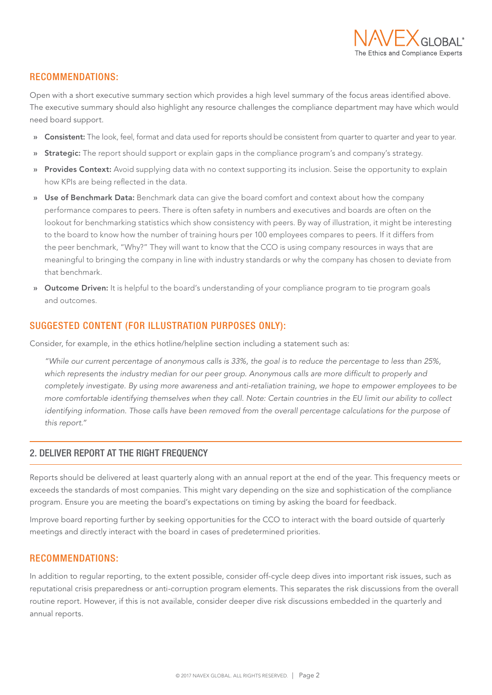

# RECOMMENDATIONS:

Open with a short executive summary section which provides a high level summary of the focus areas identified above. The executive summary should also highlight any resource challenges the compliance department may have which would need board support.

- » Consistent: The look, feel, format and data used for reports should be consistent from quarter to quarter and year to year.
- » Strategic: The report should support or explain gaps in the compliance program's and company's strategy.
- » Provides Context: Avoid supplying data with no context supporting its inclusion. Seise the opportunity to explain how KPIs are being reflected in the data.
- » Use of Benchmark Data: Benchmark data can give the board comfort and context about how the company performance compares to peers. There is often safety in numbers and executives and boards are often on the lookout for benchmarking statistics which show consistency with peers. By way of illustration, it might be interesting to the board to know how the number of training hours per 100 employees compares to peers. If it differs from the peer benchmark, "Why?" They will want to know that the CCO is using company resources in ways that are meaningful to bringing the company in line with industry standards or why the company has chosen to deviate from that benchmark.
- » Outcome Driven: It is helpful to the board's understanding of your compliance program to tie program goals and outcomes.

## SUGGESTED CONTENT (FOR ILLUSTRATION PURPOSES ONLY):

Consider, for example, in the ethics hotline/helpline section including a statement such as:

*"While our current percentage of anonymous calls is 33%, the goal is to reduce the percentage to less than 25%, which represents the industry median for our peer group. Anonymous calls are more difficult to properly and completely investigate. By using more awareness and anti-retaliation training, we hope to empower employees to be more comfortable identifying themselves when they call. Note: Certain countries in the EU limit our ability to collect*  identifying information. Those calls have been removed from the overall percentage calculations for the purpose of *this report."*

## 2. DELIVER REPORT AT THE RIGHT FREQUENCY

Reports should be delivered at least quarterly along with an annual report at the end of the year. This frequency meets or exceeds the standards of most companies. This might vary depending on the size and sophistication of the compliance program. Ensure you are meeting the board's expectations on timing by asking the board for feedback.

Improve board reporting further by seeking opportunities for the CCO to interact with the board outside of quarterly meetings and directly interact with the board in cases of predetermined priorities.

#### RECOMMENDATIONS:

In addition to regular reporting, to the extent possible, consider off-cycle deep dives into important risk issues, such as reputational crisis preparedness or anti-corruption program elements. This separates the risk discussions from the overall routine report. However, if this is not available, consider deeper dive risk discussions embedded in the quarterly and annual reports.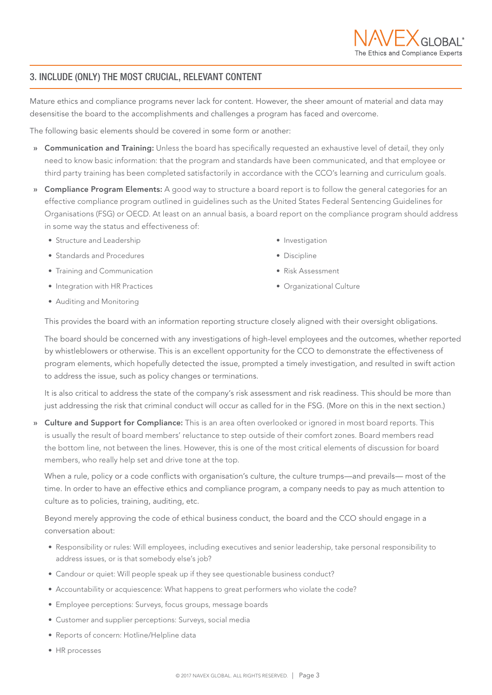# 3. INCLUDE (ONLY) THE MOST CRUCIAL, RELEVANT CONTENT

Mature ethics and compliance programs never lack for content. However, the sheer amount of material and data may desensitise the board to the accomplishments and challenges a program has faced and overcome.

The following basic elements should be covered in some form or another:

- » Communication and Training: Unless the board has specifically requested an exhaustive level of detail, they only need to know basic information: that the program and standards have been communicated, and that employee or third party training has been completed satisfactorily in accordance with the CCO's learning and curriculum goals.
- » Compliance Program Elements: A good way to structure a board report is to follow the general categories for an effective compliance program outlined in guidelines such as the United States Federal Sentencing Guidelines for Organisations (FSG) or OECD. At least on an annual basis, a board report on the compliance program should address in some way the status and effectiveness of:
	- Structure and Leadership
	- Standards and Procedures
	- Training and Communication
	- Integration with HR Practices
- Investigation
- Discipline
- Risk Assessment
- Organizational Culture

• Auditing and Monitoring

This provides the board with an information reporting structure closely aligned with their oversight obligations.

The board should be concerned with any investigations of high-level employees and the outcomes, whether reported by whistleblowers or otherwise. This is an excellent opportunity for the CCO to demonstrate the effectiveness of program elements, which hopefully detected the issue, prompted a timely investigation, and resulted in swift action to address the issue, such as policy changes or terminations.

It is also critical to address the state of the company's risk assessment and risk readiness. This should be more than just addressing the risk that criminal conduct will occur as called for in the FSG. (More on this in the next section.)

» Culture and Support for Compliance: This is an area often overlooked or ignored in most board reports. This is usually the result of board members' reluctance to step outside of their comfort zones. Board members read the bottom line, not between the lines. However, this is one of the most critical elements of discussion for board members, who really help set and drive tone at the top.

When a rule, policy or a code conflicts with organisation's culture, the culture trumps—and prevails— most of the time. In order to have an effective ethics and compliance program, a company needs to pay as much attention to culture as to policies, training, auditing, etc.

Beyond merely approving the code of ethical business conduct, the board and the CCO should engage in a conversation about:

- Responsibility or rules: Will employees, including executives and senior leadership, take personal responsibility to address issues, or is that somebody else's job?
- Candour or quiet: Will people speak up if they see questionable business conduct?
- Accountability or acquiescence: What happens to great performers who violate the code?
- Employee perceptions: Surveys, focus groups, message boards
- Customer and supplier perceptions: Surveys, social media
- Reports of concern: Hotline/Helpline data
- HR processes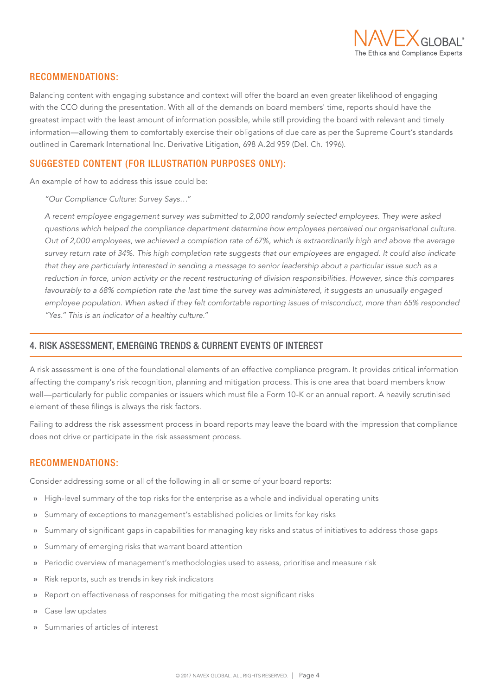

## RECOMMENDATIONS:

Balancing content with engaging substance and context will offer the board an even greater likelihood of engaging with the CCO during the presentation. With all of the demands on board members' time, reports should have the greatest impact with the least amount of information possible, while still providing the board with relevant and timely information—allowing them to comfortably exercise their obligations of due care as per the Supreme Court's standards outlined in Caremark International Inc. Derivative Litigation, 698 A.2d 959 (Del. Ch. 1996).

# SUGGESTED CONTENT (FOR ILLUSTRATION PURPOSES ONLY):

An example of how to address this issue could be:

*"Our Compliance Culture: Survey Says…"*

*A recent employee engagement survey was submitted to 2,000 randomly selected employees. They were asked questions which helped the compliance department determine how employees perceived our organisational culture. Out of 2,000 employees, we achieved a completion rate of 67%, which is extraordinarily high and above the average survey return rate of 34%. This high completion rate suggests that our employees are engaged. It could also indicate*  that they are particularly interested in sending a message to senior leadership about a particular issue such as a *reduction in force, union activity or the recent restructuring of division responsibilities. However, since this compares favourably to a 68% completion rate the last time the survey was administered, it suggests an unusually engaged employee population. When asked if they felt comfortable reporting issues of misconduct, more than 65% responded "Yes." This is an indicator of a healthy culture."*

# 4. RISK ASSESSMENT, EMERGING TRENDS & CURRENT EVENTS OF INTEREST

A risk assessment is one of the foundational elements of an effective compliance program. It provides critical information affecting the company's risk recognition, planning and mitigation process. This is one area that board members know well—particularly for public companies or issuers which must file a Form 10-K or an annual report. A heavily scrutinised element of these filings is always the risk factors.

Failing to address the risk assessment process in board reports may leave the board with the impression that compliance does not drive or participate in the risk assessment process.

# RECOMMENDATIONS:

Consider addressing some or all of the following in all or some of your board reports:

- » High-level summary of the top risks for the enterprise as a whole and individual operating units
- » Summary of exceptions to management's established policies or limits for key risks
- » Summary of significant gaps in capabilities for managing key risks and status of initiatives to address those gaps
- » Summary of emerging risks that warrant board attention
- » Periodic overview of management's methodologies used to assess, prioritise and measure risk
- » Risk reports, such as trends in key risk indicators
- » Report on effectiveness of responses for mitigating the most significant risks
- » Case law updates
- » Summaries of articles of interest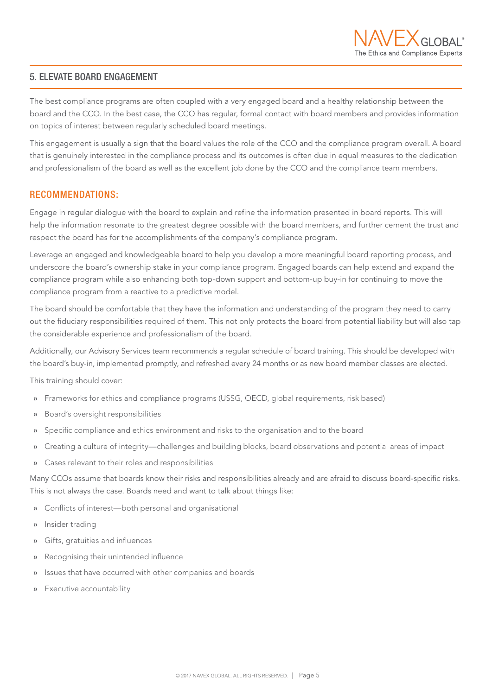## 5. ELEVATE BOARD ENGAGEMENT

The best compliance programs are often coupled with a very engaged board and a healthy relationship between the board and the CCO. In the best case, the CCO has regular, formal contact with board members and provides information on topics of interest between regularly scheduled board meetings.

This engagement is usually a sign that the board values the role of the CCO and the compliance program overall. A board that is genuinely interested in the compliance process and its outcomes is often due in equal measures to the dedication and professionalism of the board as well as the excellent job done by the CCO and the compliance team members.

# RECOMMENDATIONS:

Engage in regular dialogue with the board to explain and refine the information presented in board reports. This will help the information resonate to the greatest degree possible with the board members, and further cement the trust and respect the board has for the accomplishments of the company's compliance program.

Leverage an engaged and knowledgeable board to help you develop a more meaningful board reporting process, and underscore the board's ownership stake in your compliance program. Engaged boards can help extend and expand the compliance program while also enhancing both top-down support and bottom-up buy-in for continuing to move the compliance program from a reactive to a predictive model.

The board should be comfortable that they have the information and understanding of the program they need to carry out the fiduciary responsibilities required of them. This not only protects the board from potential liability but will also tap the considerable experience and professionalism of the board.

Additionally, our Advisory Services team recommends a regular schedule of board training. This should be developed with the board's buy-in, implemented promptly, and refreshed every 24 months or as new board member classes are elected.

This training should cover:

- » Frameworks for ethics and compliance programs (USSG, OECD, global requirements, risk based)
- » Board's oversight responsibilities
- » Specific compliance and ethics environment and risks to the organisation and to the board
- » Creating a culture of integrity—challenges and building blocks, board observations and potential areas of impact
- » Cases relevant to their roles and responsibilities

Many CCOs assume that boards know their risks and responsibilities already and are afraid to discuss board-specific risks. This is not always the case. Boards need and want to talk about things like:

- » Conflicts of interest—both personal and organisational
- » Insider trading
- » Gifts, gratuities and influences
- » Recognising their unintended influence
- » Issues that have occurred with other companies and boards
- » Executive accountability